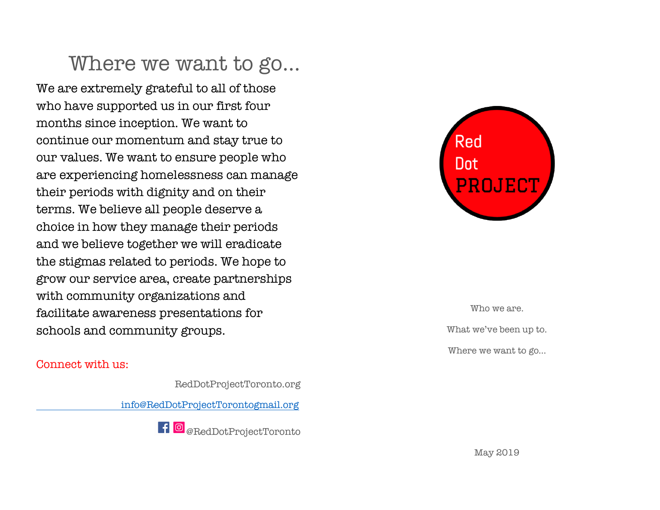## Where we want to go…

We are extremely grateful to all of those who have supported us in our first four months since inception. We want to continue our momentum and stay true to our values. We want to ensure people who are experiencing homelessness can manage their periods with dignity and on their terms. We believe all people deserve a choice in how they manage their periods and we believe together we will eradicate the stigmas related to periods. We hope to grow our service area, create partnerships with community organizations and facilitate awareness presentations for schools and community groups.

#### Connect with us:

RedDotProjectToronto.org

info@RedDotProjectTorontogmail.org





Who we are. What we've been up to. Where we want to go…

May 2019